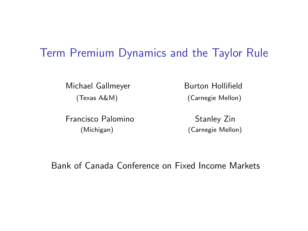#### Term Premium Dynamics and the Taylor Rule

Michael Gallmeyer Burton Hollifield

Francisco Palomino Stanley Zin (Michigan) (Carnegie Mellon)

(Texas A&M) (Carnegie Mellon)

Bank of Canada Conference on Fixed Income Markets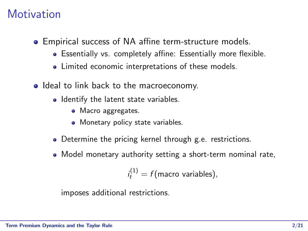#### **Motivation**

- Empirical success of NA affine term-structure models.
	- Essentially vs. completely affine: Essentially more flexible.
	- Limited economic interpretations of these models.
- Ideal to link back to the macroeconomy.
	- Identify the latent state variables.
		- Macro aggregates.
		- Monetary policy state variables.
	- Determine the pricing kernel through g.e. restrictions.
	- Model monetary authority setting a short-term nominal rate,

$$
i_t^{(1)} = f(\text{macro variables}),
$$

imposes additional restrictions.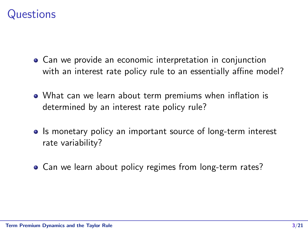#### **Questions**

- Can we provide an economic interpretation in conjunction with an interest rate policy rule to an essentially affine model?
- What can we learn about term premiums when inflation is determined by an interest rate policy rule?
- Is monetary policy an important source of long-term interest rate variability?
- Can we learn about policy regimes from long-term rates?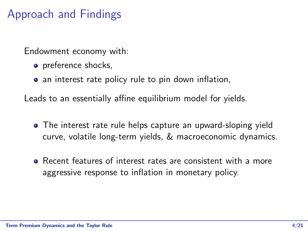## Approach and Findings

Endowment economy with:

- preference shocks,
- an interest rate policy rule to pin down inflation,

Leads to an essentially affine equilibrium model for yields.

- The interest rate rule helps capture an upward-sloping yield curve, volatile long-term yields, & macroeconomic dynamics.
- Recent features of interest rates are consistent with a more aggressive response to inflation in monetary policy.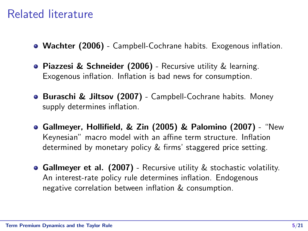### Related literature

- Wachter (2006) Campbell-Cochrane habits. Exogenous inflation.
- Piazzesi & Schneider (2006) Recursive utility & learning. Exogenous inflation. Inflation is bad news for consumption.
- **Buraschi & Jiltsov (2007)** Campbell-Cochrane habits. Money supply determines inflation.
- Gallmeyer, Hollifield, & Zin (2005) & Palomino (2007) "New Keynesian" macro model with an affine term structure. Inflation determined by monetary policy & firms' staggered price setting.
- **Gallmeyer et al. (2007)** Recursive utility & stochastic volatility. An interest-rate policy rule determines inflation. Endogenous negative correlation between inflation & consumption.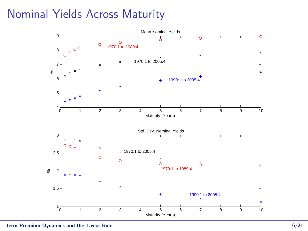## Nominal Yields Across Maturity

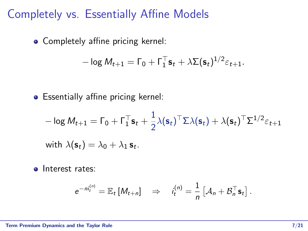## Completely vs. Essentially Affine Models

Completely affine pricing kernel:

$$
-\log M_{t+1} = \Gamma_0 + \Gamma_1^{\top} \mathbf{s}_t + \lambda \Sigma (\mathbf{s}_t)^{1/2} \varepsilon_{t+1}.
$$

• Essentially affine pricing kernel:

$$
- \log M_{t+1} = \Gamma_0 + \Gamma_1^{\top} \mathbf{s}_t + \frac{1}{2} \lambda(\mathbf{s}_t)^{\top} \Sigma \lambda(\mathbf{s}_t) + \lambda(\mathbf{s}_t)^{\top} \Sigma^{1/2} \varepsilon_{t+1}
$$
  
with  $\lambda(\mathbf{s}_t) = \lambda_0 + \lambda_1 \mathbf{s}_t$ .

• Interest rates:

$$
e^{-ni_t^{(n)}} = \mathbb{E}_t [M_{t+n}] \quad \Rightarrow \quad i_t^{(n)} = \frac{1}{n} \left[ A_n + \mathcal{B}_n^\top \mathbf{s}_t \right].
$$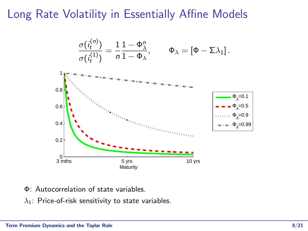## Long Rate Volatility in Essentially Affine Models



- Φ: Autocorrelation of state variables.
- $\lambda_1$ : Price-of-risk sensitivity to state variables.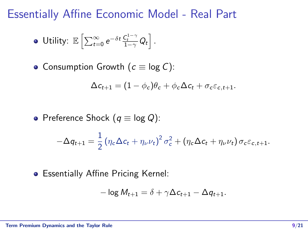Essentially Affine Economic Model - Real Part

• Utility: 
$$
\mathbb{E}\left[\sum_{t=0}^{\infty}e^{-\delta t}\frac{\mathcal{C}_t^{1-\gamma}}{1-\gamma}Q_t\right].
$$

• Consumption Growth  $(c \equiv \log C)$ :

$$
\Delta c_{t+1} = (1 - \phi_c)\theta_c + \phi_c \Delta c_t + \sigma_c \varepsilon_{c,t+1}.
$$

• Preference Shock 
$$
(q \equiv \log Q)
$$
:

$$
-\Delta q_{t+1} = \frac{1}{2} \left( \eta_c \Delta c_t + \eta_\nu \nu_t \right)^2 \sigma_c^2 + \left( \eta_c \Delta c_t + \eta_\nu \nu_t \right) \sigma_c \varepsilon_{c,t+1}.
$$

Essentially Affine Pricing Kernel:

$$
-\log M_{t+1} = \delta + \gamma \Delta c_{t+1} - \Delta q_{t+1}.
$$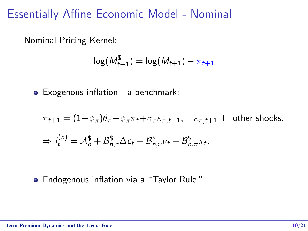#### Essentially Affine Economic Model - Nominal

Nominal Pricing Kernel:

$$
\log(M_{t+1}^{\$}) = \log(M_{t+1}) - \pi_{t+1}
$$

Exogenous inflation - a benchmark:

$$
\pi_{t+1} = (1 - \phi_{\pi})\theta_{\pi} + \phi_{\pi}\pi_t + \sigma_{\pi}\varepsilon_{\pi,t+1}, \quad \varepsilon_{\pi,t+1} \perp \text{ other shocks.}
$$
  

$$
\Rightarrow i_t^{(n)} = \mathcal{A}_n^{\$} + \mathcal{B}_{n,c}^{\$}\Delta c_t + \mathcal{B}_{n,\nu}^{\$}\nu_t + \mathcal{B}_{n,\pi}^{\$}\pi_t.
$$

• Endogenous inflation via a "Taylor Rule."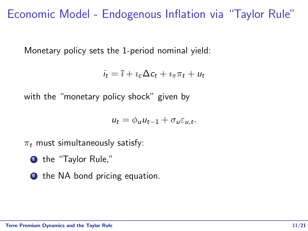## Economic Model - Endogenous Inflation via "Taylor Rule"

Monetary policy sets the 1-period nominal yield:

$$
i_t = \overline{\imath} + \imath_c \Delta c_t + \imath_{\pi} \pi_t + u_t
$$

with the "monetary policy shock" given by

$$
u_t = \phi_u u_{t-1} + \sigma_u \varepsilon_{u,t}.
$$

 $\pi_t$  must simultaneously satisfy:

**1** the "Taylor Rule."

2 the NA bond pricing equation.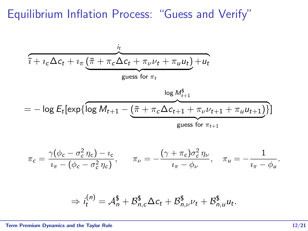Equilibrium Inflation Process: "Guess and Verify"

$$
\frac{i_t}{i + i_c \Delta c_t + i_\pi \underbrace{(\bar{\pi} + \pi_c \Delta c_t + \pi_\nu \nu_t + \pi_u u_t)}_{\text{guess for }\pi_t} + u_t}
$$
\n
$$
= -\log E_t[\exp\{\log M_{t+1} - \underbrace{(\bar{\pi} + \pi_c \Delta c_{t+1} + \pi_\nu \nu_{t+1} + \pi_u u_{t+1})}_{\text{guess for }\pi_{t+1}}\}]
$$

$$
\pi_c = \frac{\gamma(\phi_c - \sigma_c^2 \eta_c) - i_c}{i_\pi - (\phi_c - \sigma_c^2 \eta_c)}, \qquad \pi_\nu = -\frac{(\gamma + \pi_c)\sigma_c^2 \eta_\nu}{i_\pi - \phi_\nu}, \quad \pi_\nu = -\frac{1}{i_\pi - \phi_\nu}.
$$

$$
\Rightarrow i_t^{(n)} = \mathcal{A}_n^{\$} + \mathcal{B}_{n,c}^{\$} \Delta c_t + \mathcal{B}_{n,\nu}^{\$} \nu_t + \mathcal{B}_{n,u}^{\$} u_t.
$$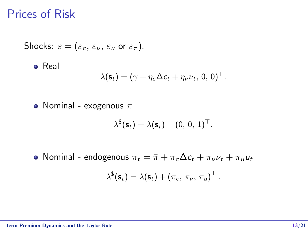#### Prices of Risk

Shocks: 
$$
\varepsilon = (\varepsilon_c, \varepsilon_{\nu}, \varepsilon_u \text{ or } \varepsilon_{\pi}).
$$

\n• Real

\n
$$
\lambda(\mathbf{s}_t) = (\gamma + \eta_c \Delta c_t + \eta_{\nu} \nu_t, 0, 0)^\top.
$$

• Nominal - exogenous  $\pi$ 

$$
\lambda^{\$}(\mathbf{s}_t) = \lambda(\mathbf{s}_t) + (0, 0, 1)^{\top}.
$$

• Nominal - endogenous  $\pi_t = \bar{\pi} + \pi_c \Delta c_t + \pi_v \nu_t + \pi_u u_t$  $\lambda^{\$}(\mathsf{s}_t) = \lambda(\mathsf{s}_t) + \left(\pi_c, \, \pi_{\nu}, \, \pi_{\mathsf{u}}\right)^{\top}.$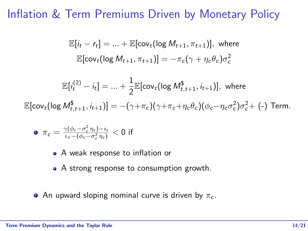#### Inflation & Term Premiums Driven by Monetary Policy

$$
\mathbb{E}[i_t - r_t] = \dots + \mathbb{E}[\text{cov}_t(\log M_{t+1}, \pi_{t+1})], \text{ where}
$$

$$
\mathbb{E}[\text{cov}_t(\log M_{t+1}, \pi_{t+1})] = -\pi_c(\gamma + \eta_c \theta_c)\sigma_c^2
$$

$$
\mathbb{E}[i_t^{(2)} - i_t] = ... + \frac{1}{2} \mathbb{E}[\text{cov}_t(\log M_{t,t+1}^{\$}, i_{t+1})], \text{ where}
$$
  

$$
\mathbb{E}[\text{cov}_t(\log M_{t,t+1}^{\$}, i_{t+1})] = -(\gamma + \pi_c)(\gamma + \pi_c + \eta_c \theta_c)(\phi_c - \eta_c \sigma_c^2)\sigma_c^2 + (-) \text{ Term.}
$$

• 
$$
\pi_c = \frac{\gamma(\phi_c - \sigma_c^2 \eta_c) - i_c}{i_{\pi} - (\phi_c - \sigma_c^2 \eta_c)} < 0
$$
 if

- A weak response to inflation or
- A strong response to consumption growth.
- An upward sloping nominal curve is driven by  $\pi_c$ .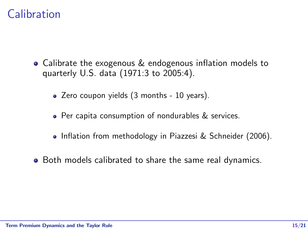## Calibration

- Calibrate the exogenous & endogenous inflation models to quarterly U.S. data (1971:3 to 2005:4).
	- Zero coupon yields (3 months 10 years).
	- Per capita consumption of nondurables & services.
	- Inflation from methodology in Piazzesi & Schneider (2006).
- Both models calibrated to share the same real dynamics.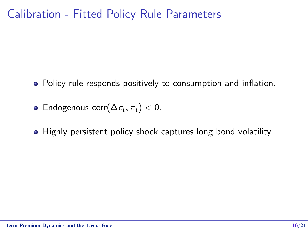## Calibration - Fitted Policy Rule Parameters

- Policy rule responds positively to consumption and inflation.
- Endogenous corr $(\Delta c_t, \pi_t) < 0$ .
- Highly persistent policy shock captures long bond volatility.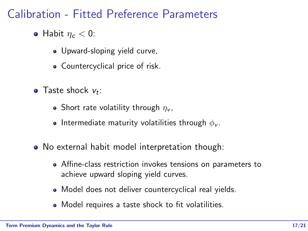Calibration - Fitted Preference Parameters

- Habit  $n_c < 0$ :
	- Upward-sloping yield curve,
	- Countercyclical price of risk.
- Taste shock  $v_t$ :
	- Short rate volatility through  $\eta_{\nu}$ ,
	- Intermediate maturity volatilities through  $\phi_{\rm v}$ .
- No external habit model interpretation though:
	- Affine-class restriction invokes tensions on parameters to achieve upward sloping yield curves.
	- Model does not deliver countercyclical real yields.
	- Model requires a taste shock to fit volatilities.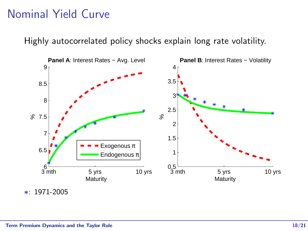# Nominal Yield Curve Nominal Yield Curve

Highly autocorrelated policy shocks explain long rate volatility.



∗: 1971-2005 ∗: 1971-2005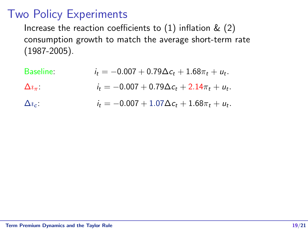## Two Policy Experiments

Increase the reaction coefficients to  $(1)$  inflation &  $(2)$ consumption growth to match the average short-term rate (1987-2005).

| Baseline:            | $i_t = -0.007 + 0.79\Delta c_t + 1.68\pi_t + u_t.$ |
|----------------------|----------------------------------------------------|
| $\Delta\imath_\pi$ : | $i_t = -0.007 + 0.79\Delta c_t + 2.14\pi_t + u_t.$ |
| $\Delta i_{c}$ :     | $i_t = -0.007 + 1.07\Delta c_t + 1.68\pi_t + u_t.$ |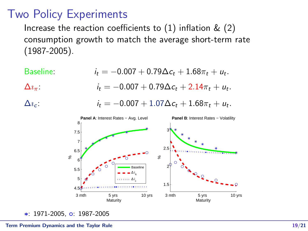## Two Policy Experiments Two Policy Experiments

Increase the reaction coefficients to  $(1)$  inflation  $\&$   $(2)$ consumption growth to match the average short-term rate consumption growth to match the average short-term rate (1987-2005). (1987-2005).



∗: 1971-2005, ◦: 1987-2005 ∗: 1971-2005, ◦: 1987-2005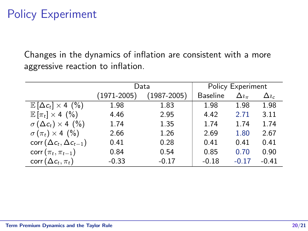## Policy Experiment

Changes in the dynamics of inflation are consistent with a more aggressive reaction to inflation.

|                                        | Data            | Policy Experiment |                 |                |              |
|----------------------------------------|-----------------|-------------------|-----------------|----------------|--------------|
|                                        | $(1971 - 2005)$ | $(1987 - 2005)$   | <b>Baseline</b> | $\Delta i_\pi$ | $\Delta i_c$ |
| $\mathbb{E} [\Delta c_t] \times 4$ (%) | 1.98            | 1.83              | 1.98            | 1.98           | 1.98         |
| $\mathbb{E}[\pi_t] \times 4$ (%)       | 4.46            | 2.95              | 4.42            | 2.71           | 3.11         |
| $\sigma(\Delta c_t) \times 4$ (%)      | 1.74            | 1.35              | 1.74            | 1.74           | 1.74         |
| $\sigma(\pi_t) \times 4$ (%)           | 2.66            | 1.26              | 2.69            | 1.80           | 2.67         |
| $corr(\Delta c_t, \Delta c_{t-1})$     | 0.41            | 0.28              | 0.41            | 0.41           | 0.41         |
| $corr(\pi_t, \pi_{t-1})$               | 0.84            | 0.54              | 0.85            | 0.70           | 0.90         |
| corr $(\Delta c_t, \pi_t)$             | $-0.33$         | $-0.17$           | $-0.18$         | $-0.17$        | $-0.41$      |